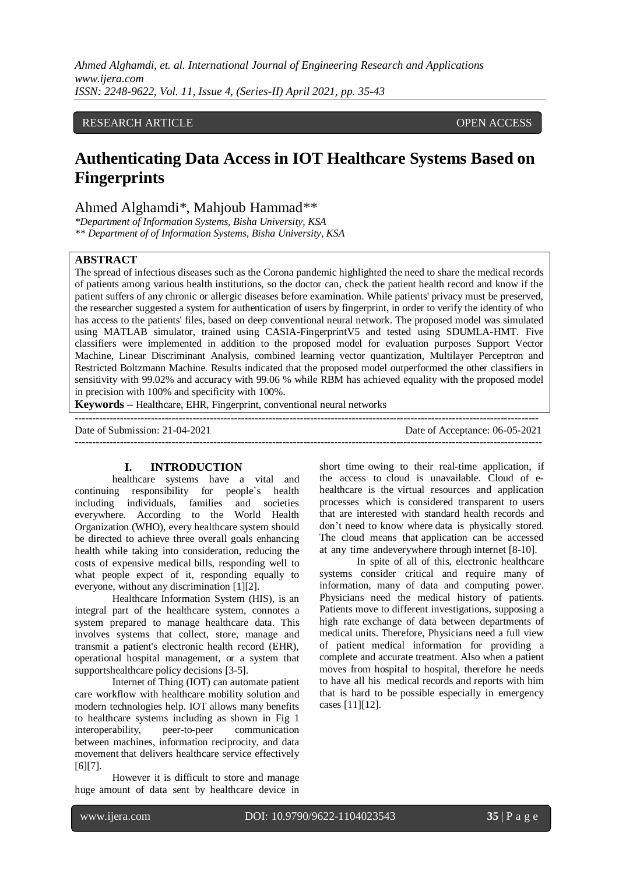# RESEARCH ARTICLE **CONSERVERS** OPEN ACCESS

# **Authenticating Data Access in IOT Healthcare Systems Based on Fingerprints**

# Ahmed Alghamdi\*, Mahjoub Hammad\*\*

*\*Department of Information Systems, Bisha University, KSA \*\* Department of of Information Systems, Bisha University, KSA*

#### **ABSTRACT**

The spread of infectious diseases such as the Corona pandemic highlighted the need to share the medical records of patients among various health institutions, so the doctor can, check the patient health record and know if the patient suffers of any chronic or allergic diseases before examination. While patients' privacy must be preserved, the researcher suggested a system for authentication of users by fingerprint, in order to verify the identity of who has access to the patients' files, based on deep conventional neural network. The proposed model was simulated using MATLAB simulator, trained using CASIA-FingerprintV5 and tested using SDUMLA-HMT. Five classifiers were implemented in addition to the proposed model for evaluation purposes Support Vector Machine, Linear Discriminant Analysis, combined learning vector quantization, Multilayer Perceptron and Restricted Boltzmann Machine. Results indicated that the proposed model outperformed the other classifiers in sensitivity with 99.02% and accuracy with 99.06 % while RBM has achieved equality with the proposed model in precision with 100% and specificity with 100%.

**Keywords –** Healthcare, EHR, Fingerprint, conventional neural networks

-------------------------------------------------------------------------------------------------------------------------------------- Date of Submission: 21-04-2021 Date of Acceptance: 06-05-2021

## **I. INTRODUCTION**

healthcare systems have a vital and continuing responsibility for people`s health including individuals, families and societies everywhere. According to the World Health Organization (WHO), every healthcare system should be directed to achieve three overall goals enhancing health while taking into consideration, reducing the costs of expensive medical bills, responding well to what people expect of it, responding equally to everyone, without any discrimination [1][2].

Healthcare Information System (HIS), is an integral part of the healthcare system, connotes a system prepared to manage healthcare data. This involves systems that collect, store, manage and transmit a patient's electronic health record (EHR), operational hospital management, or a system that supportshealthcare policy decisions [3-5].

Internet of Thing (IOT) can automate patient care workflow with [healthcare](https://www.peerbits.com/healthcare-app-development.html) mobility solution and modern technologies help. IOT allows many benefits to healthcare systems including as shown in Fig 1 interoperability, peer-to-peer communication between machines, information reciprocity, and data movement that delivers healthcare service effectively [6][7].

However it is difficult to store and manage huge amount of data sent by healthcare device in

short time owing to their real-time application, if the access to cloud is unavailable. Cloud of ehealthcare is the virtual resources and application processes which is considered transparent to users that are interested with standard health records and don't need to know where data is physically stored. The cloud means that application can be accessed at any time andeverywhere through internet [8-10].

In spite of all of this, electronic healthcare systems consider critical and require many of information, many of data and computing power. Physicians need the medical history of patients. Patients move to different investigations, supposing a high rate exchange of data between departments of medical units. Therefore, Physicians need a full view of patient medical information for providing a complete and accurate treatment. Also when a patient moves from hospital to hospital, therefore he needs to have all his medical records and reports with him that is hard to be possible especially in emergency cases [11][12].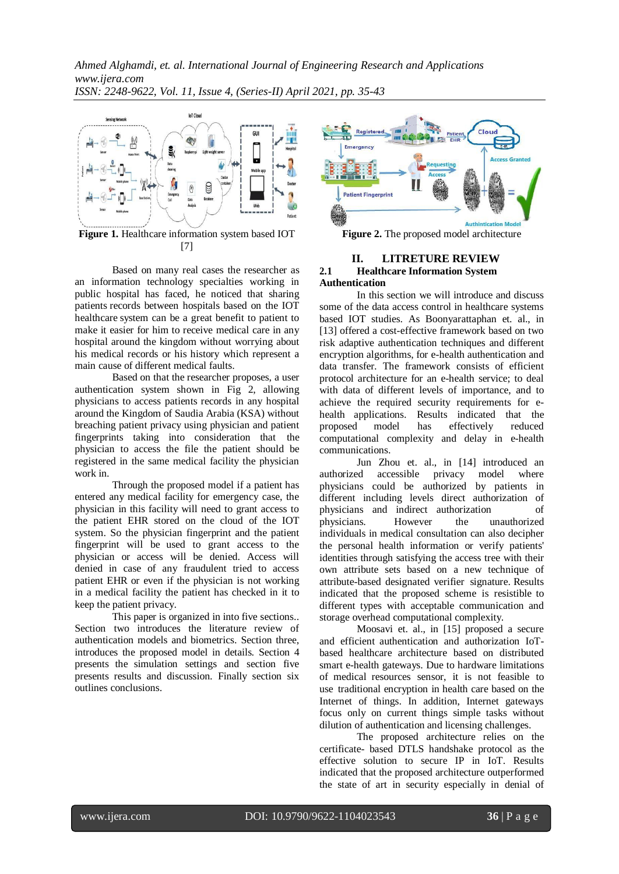

**Figure 1.** Healthcare information system based IOT [7]

Based on many real cases the researcher as an information technology specialties working in public hospital has faced, he noticed that sharing patients records between hospitals based on the IOT healthcare system can be a great benefit to patient to make it easier for him to receive medical care in any hospital around the kingdom without worrying about his medical records or his history which represent a main cause of different medical faults.

Based on that the researcher proposes, a user authentication system shown in Fig 2, allowing physicians to access patients records in any hospital around the Kingdom of Saudia Arabia (KSA) without breaching patient privacy using physician and patient fingerprints taking into consideration that the physician to access the file the patient should be registered in the same medical facility the physician work in.

Through the proposed model if a patient has entered any medical facility for emergency case, the physician in this facility will need to grant access to the patient EHR stored on the cloud of the IOT system. So the physician fingerprint and the patient fingerprint will be used to grant access to the physician or access will be denied. Access will denied in case of any fraudulent tried to access patient EHR or even if the physician is not working in a medical facility the patient has checked in it to keep the patient privacy.

This paper is organized in into five sections.. Section two introduces the literature review of authentication models and biometrics. Section three, introduces the proposed model in details. Section 4 presents the simulation settings and section five presents results and discussion. Finally section six outlines conclusions.



**Figure 2.** The proposed model architecture

# **II. LITRETURE REVIEW 2.1 Healthcare Information System Authentication**

In this section we will introduce and discuss some of the data access control in healthcare systems based IOT studies. As Boonyarattaphan et. al., in [13] offered a cost-effective framework based on two risk adaptive authentication techniques and different encryption algorithms, for e-health authentication and data transfer. The framework consists of efficient protocol architecture for an e-health service; to deal with data of different levels of importance, and to achieve the required security requirements for ehealth applications. Results indicated that the proposed model has effectively reduced computational complexity and delay in e-health communications.

Jun Zhou et. al., in [14] introduced an accessible privacy model where authorized accessible privacy model where physicians could be authorized by patients in different including levels direct authorization of physicians and indirect authorization of physicians. However the unauthorized individuals in medical consultation can also decipher the personal health information or verify patients' identities through satisfying the access tree with their own attribute sets based on a new technique of attribute-based designated verifier signature. Results indicated that the proposed scheme is resistible to different types with acceptable communication and storage overhead computational complexity.

Moosavi et. al., in [15] proposed a secure and efficient authentication and authorization IoTbased healthcare architecture based on distributed smart e-health gateways. Due to hardware limitations of medical resources sensor, it is not feasible to use traditional encryption in health care based on the Internet of things. In addition, Internet gateways focus only on current things simple tasks without dilution of authentication and licensing challenges.

The proposed architecture relies on the certificate- based DTLS handshake protocol as the effective solution to secure IP in IoT. Results indicated that the proposed architecture outperformed the state of art in security especially in denial of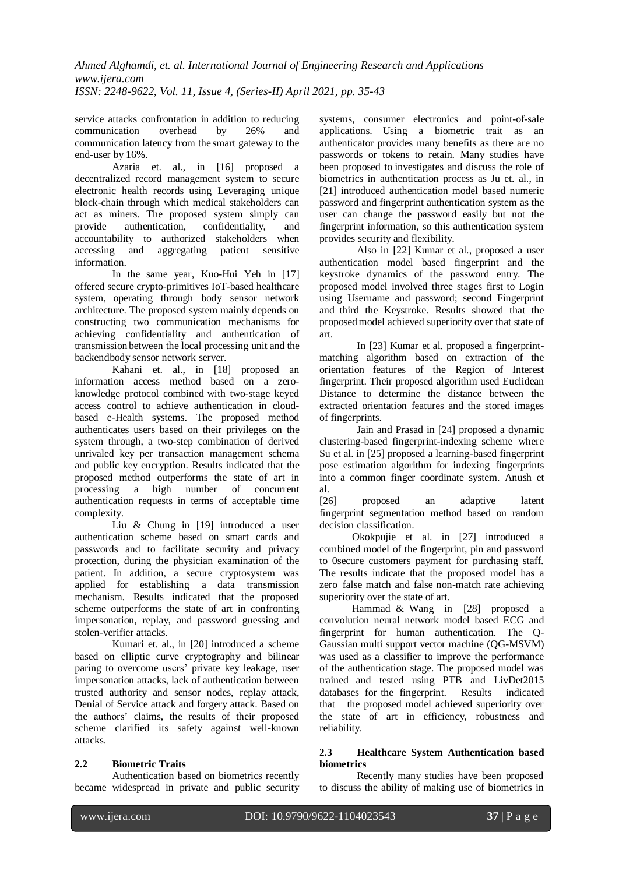service attacks confrontation in addition to reducing communication overhead by 26% and communication latency from the smart gateway to the end-user by 16%.

[Azaria e](https://ieeexplore.ieee.org/author/37085733043)t. al., in [16] proposed a decentralized record management system to secure electronic health records using Leveraging unique block-chain through which medical stakeholders can act as miners. The proposed system simply can provide authentication, confidentiality, and accountability to authorized stakeholders when accessing and aggregating patient sensitive information.

In the same year, [Kuo-Hui Yeh i](https://ieeexplore.ieee.org/author/37396432200)n [17] offered secure crypto-primitives IoT-based healthcare system, operating through body sensor network architecture. The proposed system mainly depends on constructing two communication mechanisms for achieving confidentiality and authentication of transmission between the local processing unit and the backendbody sensor network server.

[Kahani e](https://ieeexplore.ieee.org/author/37085790415)t. al., in [18] proposed an information access method based on a zeroknowledge protocol combined with two-stage keyed access control to achieve authentication in cloudbased e-Health systems. The proposed method authenticates users based on their privileges on the system through, a two-step combination of derived unrivaled key per transaction management schema and public key encryption. Results indicated that the proposed method outperforms the state of art in processing a high number of concurrent authentication requests in terms of acceptable time complexity.

Liu & Chung in [19] introduced a user authentication scheme based on smart cards and passwords and to facilitate security and privacy protection, during the physician examination of the patient. In addition, a secure cryptosystem was applied for establishing a data transmission mechanism. Results indicated that the proposed scheme outperforms the state of art in confronting impersonation, replay, and password guessing and stolen-verifier attacks.

Kumari et. al., in [20] introduced a scheme based on elliptic curve cryptography and bilinear paring to overcome users' private key leakage, user impersonation attacks, lack of authentication between trusted authority and sensor nodes, replay attack, Denial of Service attack and forgery attack. Based on the authors' claims, the results of their proposed scheme clarified its safety against well-known attacks.

# **2.2 Biometric Traits**

Authentication based on biometrics recently became widespread in private and public security systems, consumer electronics and point-of-sale applications. Using a biometric trait as an authenticator provides many benefits as there are no passwords or tokens to retain. Many studies have been proposed to investigates and discuss the role of biometrics in authentication process as Ju et. al., in [21] introduced authentication model based numeric password and fingerprint authentication system as the user can change the password easily but not the fingerprint information, so this authentication system provides security and flexibility.

Also in [22] Kumar et al., proposed a user authentication model based fingerprint and the keystroke dynamics of the password entry. The proposed model involved three stages first to Login using Username and password; second Fingerprint and third the Keystroke. Results showed that the proposedmodel achieved superiority over that state of art.

In [23] Kumar et al. proposed a fingerprintmatching algorithm based on extraction of the orientation features of the Region of Interest fingerprint. Their proposed algorithm used Euclidean Distance to determine the distance between the extracted orientation features and the stored images of fingerprints.

Jain and Prasad in [24] proposed a dynamic clustering-based fingerprint-indexing scheme where Su et al. in [25] proposed a learning-based fingerprint pose estimation algorithm for indexing fingerprints into a common finger coordinate system. Anush et al.

[26] proposed an adaptive latent fingerprint segmentation method based on random decision classification.

Okokpujie et al. in [27] introduced a combined model of the fingerprint, pin and password to 0secure customers payment for purchasing staff. The results indicate that the proposed model has a zero false match and false non-match rate achieving superiority over the state of art.

Hammad & Wang in [28] proposed a convolution neural network model based ECG and fingerprint for human authentication. The Q-Gaussian multi support vector machine (QG-MSVM) was used as a classifier to improve the performance of the authentication stage. The proposed model was trained and tested using PTB and LivDet2015 databases for the fingerprint. Results indicated that the proposed model achieved superiority over the state of art in efficiency, robustness and reliability.

# **2.3 Healthcare System Authentication based biometrics**

Recently many studies have been proposed to discuss the ability of making use of biometrics in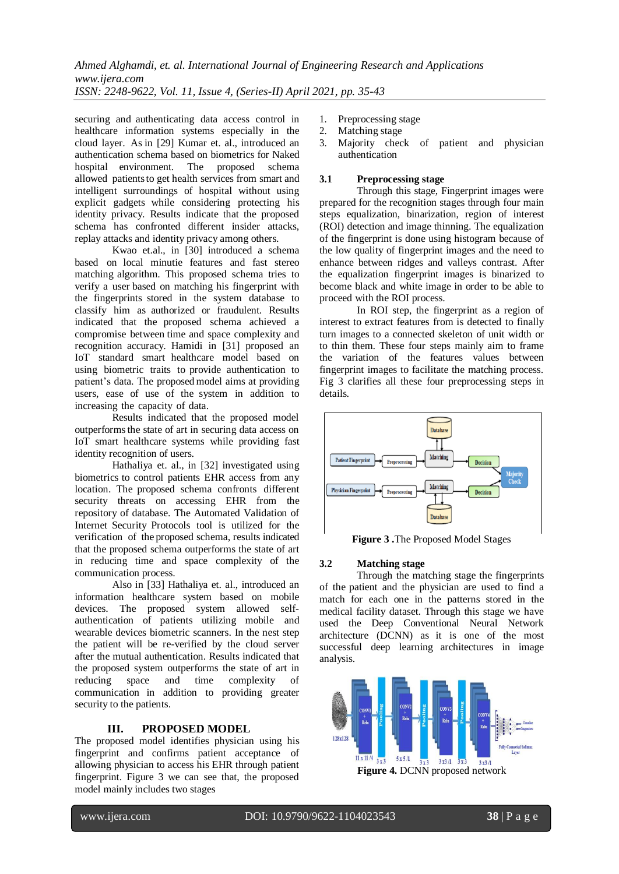securing and authenticating data access control in healthcare information systems especially in the cloud layer. As in [29] [Kumar](https://ieeexplore.ieee.org/author/37086041513) et. al., introduced an authentication schema based on biometrics for Naked hospital environment. The proposed schema allowed patientsto get health services from smart and intelligent surroundings of hospital without using explicit gadgets while considering protecting his identity privacy. Results indicate that the proposed schema has confronted different insider attacks, replay attacks and identity privacy among others.

Kwao et.al., in [30] introduced a schema based on local minutie features and fast stereo matching algorithm. This proposed schema tries to verify a user based on matching his fingerprint with the fingerprints stored in the system database to classify him as authorized or fraudulent. Results indicated that the proposed schema achieved a compromise between time and space complexity and recognition accuracy. [Hamidi](https://www.sciencedirect.com/science/article/abs/pii/S0167739X18313517#!) in [31] proposed an IoT standard smart healthcare model based on using biometric traits to provide authentication to patient's data. The proposed model aims at providing users, ease of use of the system in addition to increasing the capacity of data.

Results indicated that the proposed model outperforms the state of art in securing data access on IoT smart healthcare systems while providing fast identity recognition of users.

[Hathaliya e](https://www.sciencedirect.com/science/article/abs/pii/S004579061930062X#!)t. al., in [32] investigated using biometrics to control patients EHR access from any location. The proposed schema confronts different security threats on accessing EHR from the repository of database. The Automated Validation of Internet Security Protocols tool is utilized for the verification of the proposed schema, results indicated that the proposed schema outperforms the state of art in reducing time and space complexity of the communication process.

Also in [33] [Hathaliya](https://www.sciencedirect.com/science/article/abs/pii/S221421261931021X#!) et. al., introduced an information healthcare system based on mobile devices. The proposed system allowed selfauthentication of patients utilizing mobile and wearable devices biometric scanners. In the nest step the patient will be re-verified by the cloud server after the mutual authentication. Results indicated that the proposed system outperforms the state of art in reducing space and time complexity of communication in addition to providing greater security to the patients.

# **III. PROPOSED MODEL**

The proposed model identifies physician using his fingerprint and confirms patient acceptance of allowing physician to access his EHR through patient fingerprint. Figure 3 we can see that, the proposed model mainly includes two stages

- 1. Preprocessing stage
- 2. Matching stage
- 3. Majority check of patient and physician authentication

# **3.1 Preprocessing stage**

Through this stage, Fingerprint images were prepared for the recognition stages through four main steps equalization, binarization, region of interest (ROI) detection and image thinning. The equalization of the fingerprint is done using histogram because of the low quality of fingerprint images and the need to enhance between ridges and valleys contrast. After the equalization fingerprint images is binarized to become black and white image in order to be able to proceed with the ROI process.

In ROI step, the fingerprint as a region of interest to extract features from is detected to finally turn images to a connected skeleton of unit width or to thin them. These four steps mainly aim to frame the variation of the features values between fingerprint images to facilitate the matching process. Fig 3 clarifies all these four preprocessing steps in details.



**Figure 3 .**The Proposed Model Stages

## **3.2 Matching stage**

Through the matching stage the fingerprints of the patient and the physician are used to find a match for each one in the patterns stored in the medical facility dataset. Through this stage we have used the Deep Conventional Neural Network architecture (DCNN) as it is one of the most successful deep learning architectures in image analysis.

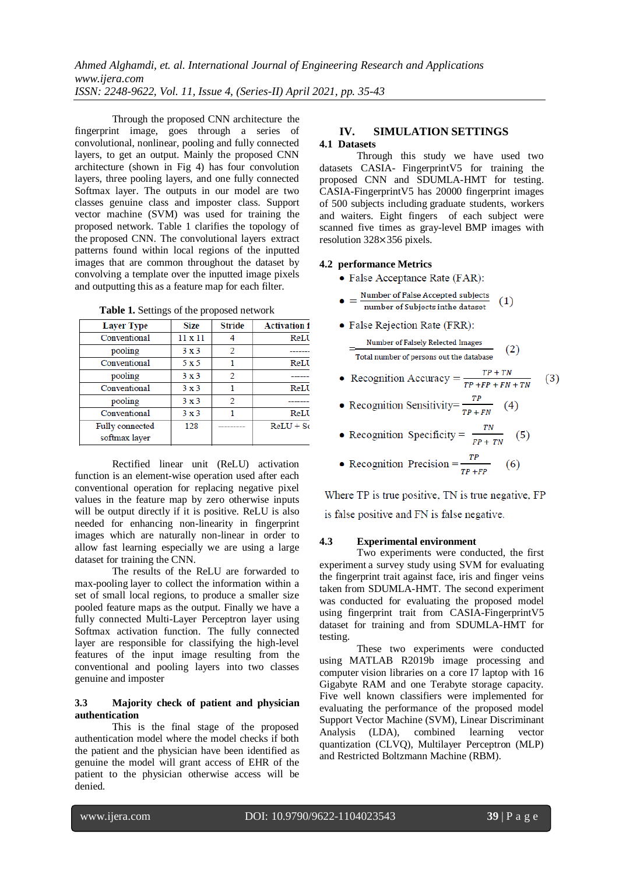Through the proposed CNN architecture the fingerprint image, goes through a series of convolutional, nonlinear, pooling and fully connected layers, to get an output. Mainly the proposed CNN architecture (shown in Fig 4) has four convolution layers, three pooling layers, and one fully connected Softmax layer. The outputs in our model are two classes genuine class and imposter class. Support vector machine (SVM) was used for training the proposed network. Table 1 clarifies the topology of the proposed CNN. The convolutional layers extract patterns found within local regions of the inputted images that are common throughout the dataset by convolving a template over the inputted image pixels and outputting this as a feature map for each filter.

| <b>Layer Type</b> | <b>Size</b> | <b>Stride</b> | <b>Activation f</b> |
|-------------------|-------------|---------------|---------------------|
| Conventional      | 11 x 11     |               | ReLU                |
| pooling           | 3x3         | 2             |                     |
| Conventional      | 5 x 5       |               | ReLU                |
| pooling           | 3x3         | $\mathcal{D}$ |                     |
| Conventional      | 3x3         |               | ReLU                |
| pooling           | 3x3         | 2             |                     |
| Conventional      | 3x3         |               | ReLU                |
| Fully connected   | 128         |               | $ReLU + Sc$         |
| softmax layer     |             |               |                     |

**Table 1.** Settings of the proposed network

Rectified linear unit (ReLU) activation function is an element-wise operation used after each conventional operation for replacing negative pixel values in the feature map by zero otherwise inputs will be output directly if it is positive. ReLU is also needed for enhancing non-linearity in fingerprint images which are naturally non-linear in order to allow fast learning especially we are using a large dataset for training the CNN.

The results of the ReLU are forwarded to max-pooling layer to collect the information within a set of small local regions, to produce a smaller size pooled feature maps as the output. Finally we have a fully connected Multi-Layer Perceptron layer using Softmax activation function. The fully connected layer are responsible for classifying the high-level features of the input image resulting from the conventional and pooling layers into two classes genuine and imposter

#### **3.3 Majority check of patient and physician authentication**

This is the final stage of the proposed authentication model where the model checks if both the patient and the physician have been identified as genuine the model will grant access of EHR of the patient to the physician otherwise access will be denied.

# **IV. SIMULATION SETTINGS 4.1 Datasets**

Through this study we have used two datasets CASIA- FingerprintV5 for training the proposed CNN and SDUMLA-HMT for testing. CASIA-FingerprintV5 has 20000 fingerprint images of 500 subjects including graduate students, workers and waiters. Eight fingers of each subject were scanned five times as gray-level BMP images with resolution 328×356 pixels.

#### **4.2 performance Metrics**

- False Acceptance Rate (FAR):
- $\bullet = \frac{\text{Number of False Accepted subjects}}{\text{number of Subjects in the dataset}}$  $(1)$
- False Rejection Rate (FRR):

Number of Falsely Relected Images  $(2)$ Total number of persons out the database

- Recognition Accuracy =  $\frac{TP + TN}{TP + FP + FN + TN}$  $(3)$
- Recognition Sensitivity= $\frac{TP}{TP + FN}$  (4)

• Recognition Specificity = 
$$
\frac{TN}{FP + TN}
$$
 (5)

• Recognition Precision =  $\frac{TP}{TP + FP}$  (6)

Where TP is true positive. TN is true negative, FP

is false positive and FN is false negative.

## **4.3 Experimental environment**

Two experiments were conducted, the first experiment a survey study using SVM for evaluating the fingerprint trait against face, iris and finger veins taken from SDUMLA-HMT. The second experiment was conducted for evaluating the proposed model using fingerprint trait from CASIA-FingerprintV5 dataset for training and from SDUMLA-HMT for testing.

These two experiments were conducted using MATLAB R2019b image processing and computer vision libraries on a core I7 laptop with 16 Gigabyte RAM and one Terabyte storage capacity. Five well known classifiers were implemented for evaluating the performance of the proposed model Support Vector Machine (SVM), Linear Discriminant Analysis (LDA), combined learning vector quantization (CLVQ), Multilayer Perceptron (MLP) and Restricted Boltzmann Machine (RBM).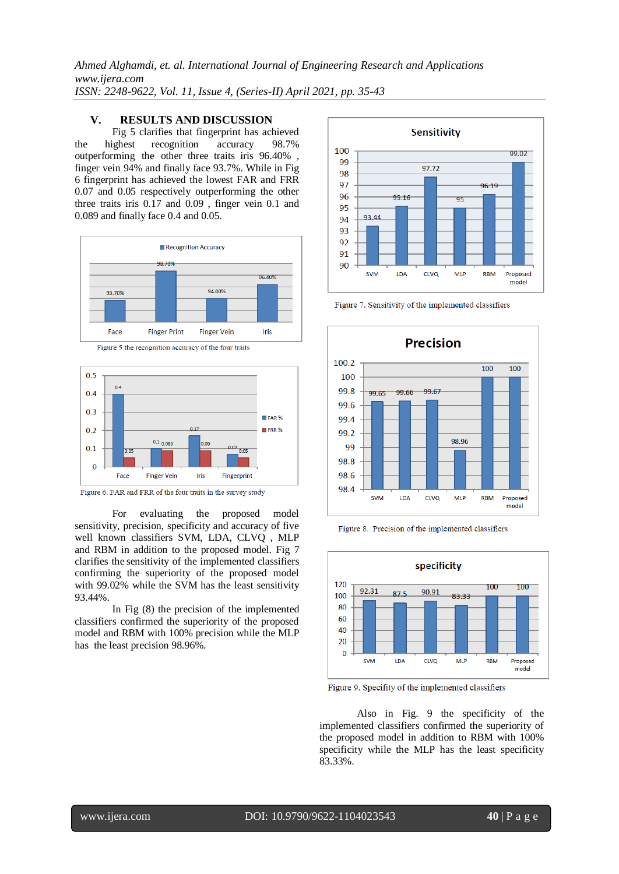# **V. RESULTS AND DISCUSSION**

Fig 5 clarifies that fingerprint has achieved the highest recognition accuracy 98.7% outperforming the other three traits iris 96.40% , finger vein 94% and finally face 93.7%. While in Fig 6 fingerprint has achieved the lowest FAR and FRR 0.07 and 0.05 respectively outperforming the other three traits iris 0.17 and 0.09 , finger vein 0.1 and 0.089 and finally face 0.4 and 0.05.



Figure 5 the recognition accuracy of the four traits



Figure 6. FAR and FRR of the four traits in the survey study

For evaluating the proposed model sensitivity, precision, specificity and accuracy of five well known classifiers SVM, LDA, CLVQ , MLP and RBM in addition to the proposed model. Fig 7 clarifies the sensitivity of the implemented classifiers confirming the superiority of the proposed model with 99.02% while the SVM has the least sensitivity 93.44%.

In Fig (8) the precision of the implemented classifiers confirmed the superiority of the proposed model and RBM with 100% precision while the MLP has the least precision 98.96%.



Figure 7. Sensitivity of the implemented classifiers



Figure 8. Precision of the implemented classifiers



Figure 9. Specifity of the implemented classifiers

Also in Fig. 9 the specificity of the implemented classifiers confirmed the superiority of the proposed model in addition to RBM with 100% specificity while the MLP has the least specificity 83.33%.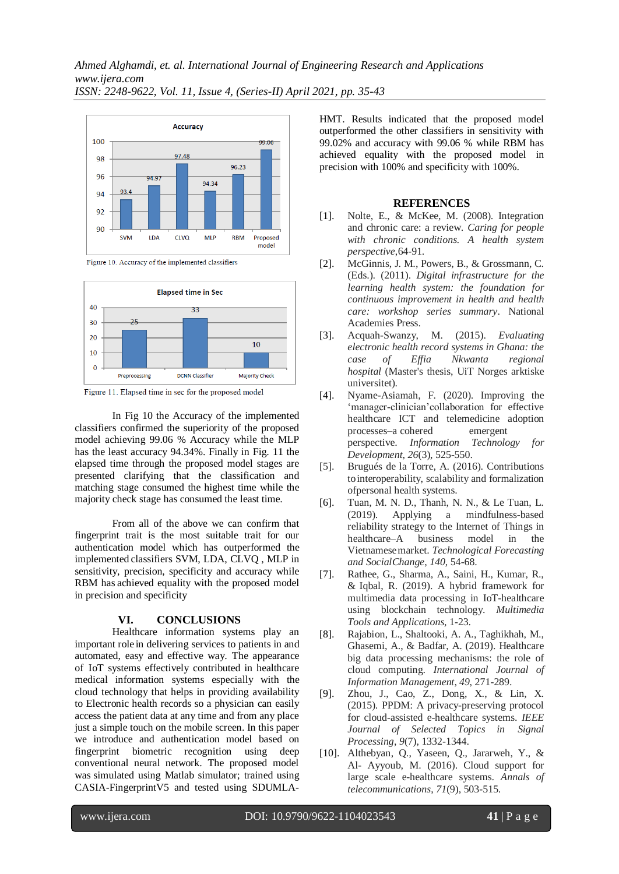





Figure 11. Elapsed time in sec for the proposed model

In Fig 10 the Accuracy of the implemented classifiers confirmed the superiority of the proposed model achieving 99.06 % Accuracy while the MLP has the least accuracy 94.34%. Finally in Fig. 11 the elapsed time through the proposed model stages are presented clarifying that the classification and matching stage consumed the highest time while the majority check stage has consumed the least time.

From all of the above we can confirm that fingerprint trait is the most suitable trait for our authentication model which has outperformed the implemented classifiers SVM, LDA, CLVQ , MLP in sensitivity, precision, specificity and accuracy while RBM has achieved equality with the proposed model in precision and specificity

## **VI. CONCLUSIONS**

Healthcare information systems play an important role in delivering services to patients in and automated, easy and effective way. The appearance of IoT systems effectively contributed in healthcare medical information systems especially with the cloud technology that helps in providing availability to Electronic health records so a physician can easily access the patient data at any time and from any place just a simple touch on the mobile screen. In this paper we introduce and authentication model based on fingerprint biometric recognition using deep conventional neural network. The proposed model was simulated using Matlab simulator; trained using CASIA-FingerprintV5 and tested using SDUMLA-

HMT. Results indicated that the proposed model outperformed the other classifiers in sensitivity with 99.02% and accuracy with 99.06 % while RBM has achieved equality with the proposed model in precision with 100% and specificity with 100%.

#### **REFERENCES**

- [1]. Nolte, E., & McKee, M. (2008). Integration and chronic care: a review. *Caring for people with chronic conditions. A health system perspective*,64-91.
- [2]. McGinnis, J. M., Powers, B., & Grossmann, C. (Eds.). (2011). *Digital infrastructure for the learning health system: the foundation for continuous improvement in health and health care: workshop series summary*. National Academies Press.
- [3]. Acquah-Swanzy, M. (2015). *Evaluating electronic health record systems in Ghana: the case of Effia Nkwanta regional hospital* (Master's thesis, UiT Norges arktiske universitet).
- [4]. Nyame-Asiamah, F. (2020). Improving the 'manager-clinician'collaboration for effective healthcare ICT and telemedicine adoption processes–a cohered emergent perspective. *Information Technology for Development*, *26*(3), 525-550.
- [5]. Brugués de la Torre, A. (2016). Contributions tointeroperability, scalability and formalization ofpersonal health systems.
- [6]. Tuan, M. N. D., Thanh, N. N., & Le Tuan, L. (2019). Applying a mindfulness-based reliability strategy to the Internet of Things in healthcare–A business model in the Vietnamesemarket. *Technological Forecasting and SocialChange*, *140*, 54-68.
- [7]. Rathee, G., Sharma, A., Saini, H., Kumar, R., & Iqbal, R. (2019). A hybrid framework for multimedia data processing in IoT-healthcare using blockchain technology. *Multimedia Tools and Applications*, 1-23.
- [8]. Rajabion, L., Shaltooki, A. A., Taghikhah, M., Ghasemi, A., & Badfar, A. (2019). Healthcare big data processing mechanisms: the role of cloud computing. *International Journal of Information Management*, *49*, 271-289.
- [9]. Zhou, J., Cao, Z., Dong, X., & Lin, X. (2015). PPDM: A privacy-preserving protocol for cloud-assisted e-healthcare systems. *IEEE Journal of Selected Topics in Signal Processing*, *9*(7), 1332-1344.
- [10]. Althebyan, Q., Yaseen, Q., Jararweh, Y., & Al- Ayyoub, M. (2016). Cloud support for large scale e-healthcare systems. *Annals of telecommunications*, *71*(9), 503-515.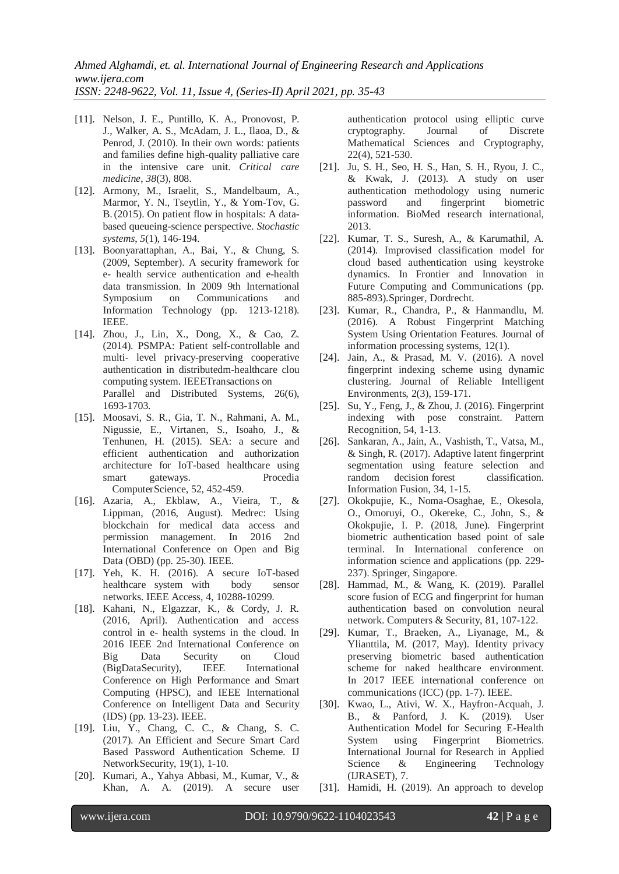- [11]. Nelson, J. E., Puntillo, K. A., Pronovost, P. J., Walker, A. S., McAdam, J. L., Ilaoa, D., & Penrod, J. (2010). In their own words: patients and families define high-quality palliative care in the intensive care unit. *Critical care medicine*, *38*(3), 808.
- [12]. Armony, M., Israelit, S., Mandelbaum, A., Marmor, Y. N., Tseytlin, Y., & Yom-Tov, G. B.(2015). On patient flow in hospitals: A databased queueing-science perspective. *Stochastic systems*, *5*(1), 146-194.
- [13]. Boonyarattaphan, A., Bai, Y., & Chung, S. (2009, September). A security framework for e- health service authentication and e-health data transmission. In 2009 9th International Symposium on Communications and Information Technology (pp. 1213-1218). IEEE.
- [14]. Zhou, J., Lin, X., Dong, X., & Cao, Z. (2014). PSMPA: Patient self-controllable and multi- level privacy-preserving cooperative authentication in distributedm-healthcare clou computing system. IEEETransactions on Parallel and Distributed Systems, 26(6), 1693-1703.
- [15]. Moosavi, S. R., Gia, T. N., Rahmani, A. M., Nigussie, E., Virtanen, S., Isoaho, J., & Tenhunen, H. (2015). SEA: a secure and efficient authentication and authorization architecture for IoT-based healthcare using smart gateways. Procedia ComputerScience, 52, 452-459.
- [16]. Azaria, A., Ekblaw, A., Vieira, T., & Lippman, (2016, August). Medrec: Using blockchain for medical data access and permission management. In 2016 2nd International Conference on Open and Big Data (OBD) (pp. 25-30). IEEE.
- [17]. Yeh, K. H. (2016). A secure IoT-based healthcare system with body sensor networks. IEEE Access, 4, 10288-10299.
- [18]. Kahani, N., Elgazzar, K., & Cordy, J. R. (2016, April). Authentication and access control in e- health systems in the cloud. In 2016 IEEE 2nd International Conference on Big Data Security on Cloud (BigDataSecurity), IEEE International Conference on High Performance and Smart Computing (HPSC), and IEEE International Conference on Intelligent Data and Security (IDS) (pp. 13-23). IEEE.
- [19]. Liu, Y., Chang, C. C., & Chang, S. C. (2017). An Efficient and Secure Smart Card Based Password Authentication Scheme. IJ NetworkSecurity, 19(1), 1-10.
- [20]. Kumari, A., Yahya Abbasi, M., Kumar, V., & Khan, A. A. (2019). A secure user

authentication protocol using elliptic curve cryptography. Journal of Discrete Mathematical Sciences and Cryptography, 22(4), 521-530.

- [21]. Ju, S. H., Seo, H. S., Han, S. H., Ryou, J. C., & Kwak, J. (2013). A study on user authentication methodology using numeric password and fingerprint biometric information. BioMed research international, 2013.
- [22]. Kumar, T. S., Suresh, A., & Karumathil, A. (2014). Improvised classification model for cloud based authentication using keystroke dynamics. In Frontier and Innovation in Future Computing and Communications (pp. 885-893).Springer, Dordrecht.
- [23]. Kumar, R., Chandra, P., & Hanmandlu, M. (2016). A Robust Fingerprint Matching System Using Orientation Features. Journal of information processing systems, 12(1).
- [24]. Jain, A., & Prasad, M. V. (2016). A novel fingerprint indexing scheme using dynamic clustering. Journal of Reliable Intelligent Environments, 2(3), 159-171.
- [25]. Su, Y., Feng, J., & Zhou, J. (2016). Fingerprint indexing with pose constraint. Pattern Recognition, 54, 1-13.
- [26]. Sankaran, A., Jain, A., Vashisth, T., Vatsa, M., & Singh, R. (2017). Adaptive latent fingerprint segmentation using feature selection and random decision forest classification. Information Fusion, 34, 1-15.
- [27]. Okokpujie, K., Noma-Osaghae, E., Okesola, O., Omoruyi, O., Okereke, C., John, S., & Okokpujie, I. P. (2018, June). Fingerprint biometric authentication based point of sale terminal. In International conference on information science and applications (pp. 229- 237). Springer, Singapore.
- [28]. Hammad, M., & Wang, K. (2019). Parallel score fusion of ECG and fingerprint for human authentication based on convolution neural network. Computers & Security, 81, 107-122.
- [29]. Kumar, T., Braeken, A., Liyanage, M., & Ylianttila, M. (2017, May). Identity privacy preserving biometric based authentication scheme for naked healthcare environment. In 2017 IEEE international conference on communications (ICC) (pp. 1-7). IEEE.
- [30]. Kwao, L., Ativi, W. X., Hayfron-Acquah, J. B., & Panford, J. K. (2019). User Authentication Model for Securing E-Health System using Fingerprint Biometrics. International Journal for Research in Applied Science & Engineering Technology (IJRASET), 7.
- [31]. Hamidi, H. (2019). An approach to develop